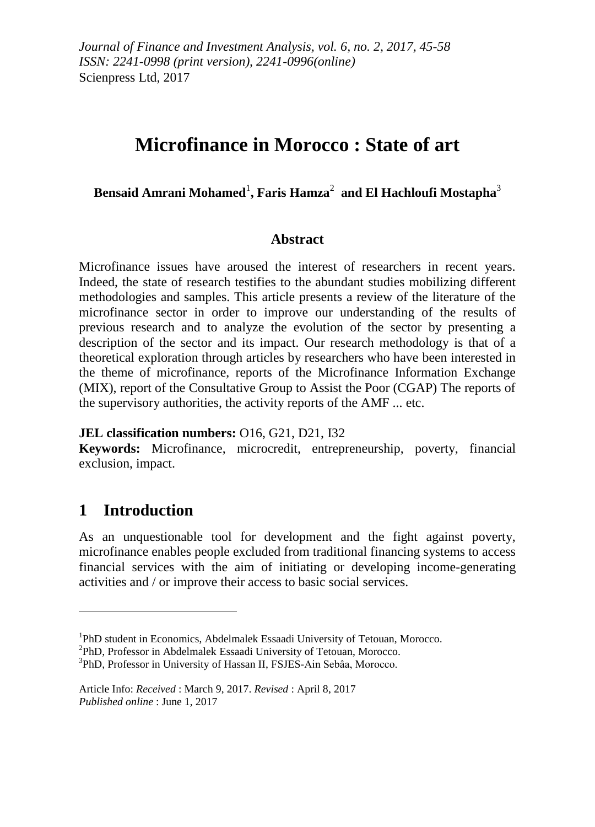# **Microfinance in Morocco : State of art**

## **Bensaid Amrani Mohamed**<sup>1</sup> **, Faris Hamza**<sup>2</sup> **and El Hachloufi Mostapha**<sup>3</sup>

### **Abstract**

Microfinance issues have aroused the interest of researchers in recent years. Indeed, the state of research testifies to the abundant studies mobilizing different methodologies and samples. This article presents a review of the literature of the microfinance sector in order to improve our understanding of the results of previous research and to analyze the evolution of the sector by presenting a description of the sector and its impact. Our research methodology is that of a theoretical exploration through articles by researchers who have been interested in the theme of microfinance, reports of the Microfinance Information Exchange (MIX), report of the Consultative Group to Assist the Poor (CGAP) The reports of the supervisory authorities, the activity reports of the AMF ... etc.

#### **JEL classification numbers:** O16, G21, D21, I32

**Keywords:** Microfinance, microcredit, entrepreneurship, poverty, financial exclusion, impact.

## **1 Introduction**

1

As an unquestionable tool for development and the fight against poverty, microfinance enables people excluded from traditional financing systems to access financial services with the aim of initiating or developing income-generating activities and / or improve their access to basic social services.

<sup>&</sup>lt;sup>1</sup>PhD student in Economics, Abdelmalek Essaadi University of Tetouan, Morocco.

<sup>2</sup> PhD, Professor in Abdelmalek Essaadi University of Tetouan, Morocco.

<sup>3</sup> PhD, Professor in University of Hassan II, FSJES-Ain Sebâa, Morocco.

Article Info: *Received* : March 9, 2017. *Revised* : April 8, 2017 *Published online* : June 1, 2017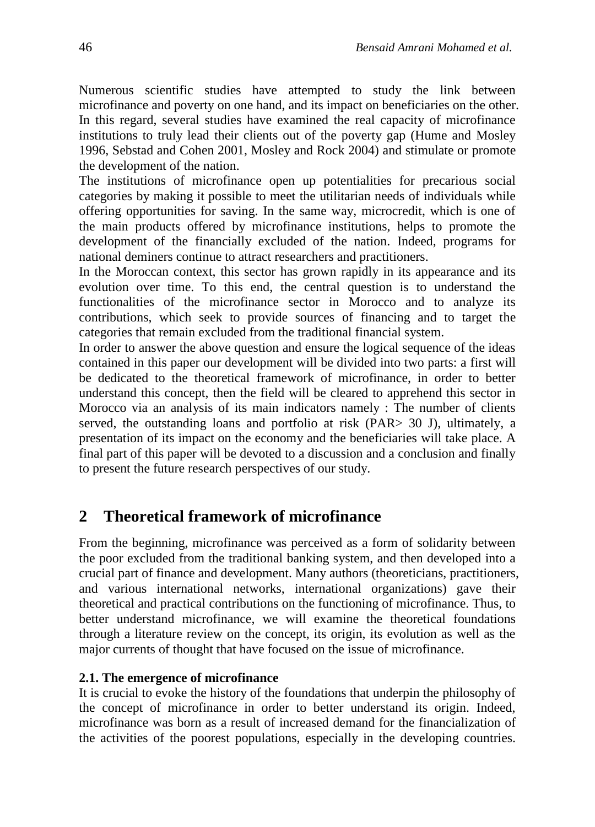Numerous scientific studies have attempted to study the link between microfinance and poverty on one hand, and its impact on beneficiaries on the other. In this regard, several studies have examined the real capacity of microfinance institutions to truly lead their clients out of the poverty gap (Hume and Mosley 1996, Sebstad and Cohen 2001, Mosley and Rock 2004) and stimulate or promote the development of the nation.

The institutions of microfinance open up potentialities for precarious social categories by making it possible to meet the utilitarian needs of individuals while offering opportunities for saving. In the same way, microcredit, which is one of the main products offered by microfinance institutions, helps to promote the development of the financially excluded of the nation. Indeed, programs for national deminers continue to attract researchers and practitioners.

In the Moroccan context, this sector has grown rapidly in its appearance and its evolution over time. To this end, the central question is to understand the functionalities of the microfinance sector in Morocco and to analyze its contributions, which seek to provide sources of financing and to target the categories that remain excluded from the traditional financial system.

In order to answer the above question and ensure the logical sequence of the ideas contained in this paper our development will be divided into two parts: a first will be dedicated to the theoretical framework of microfinance, in order to better understand this concept, then the field will be cleared to apprehend this sector in Morocco via an analysis of its main indicators namely : The number of clients served, the outstanding loans and portfolio at risk (PAR> 30 J), ultimately, a presentation of its impact on the economy and the beneficiaries will take place. A final part of this paper will be devoted to a discussion and a conclusion and finally to present the future research perspectives of our study.

## **2 Theoretical framework of microfinance**

From the beginning, microfinance was perceived as a form of solidarity between the poor excluded from the traditional banking system, and then developed into a crucial part of finance and development. Many authors (theoreticians, practitioners, and various international networks, international organizations) gave their theoretical and practical contributions on the functioning of microfinance. Thus, to better understand microfinance, we will examine the theoretical foundations through a literature review on the concept, its origin, its evolution as well as the major currents of thought that have focused on the issue of microfinance.

#### **2.1. The emergence of microfinance**

It is crucial to evoke the history of the foundations that underpin the philosophy of the concept of microfinance in order to better understand its origin. Indeed, microfinance was born as a result of increased demand for the financialization of the activities of the poorest populations, especially in the developing countries.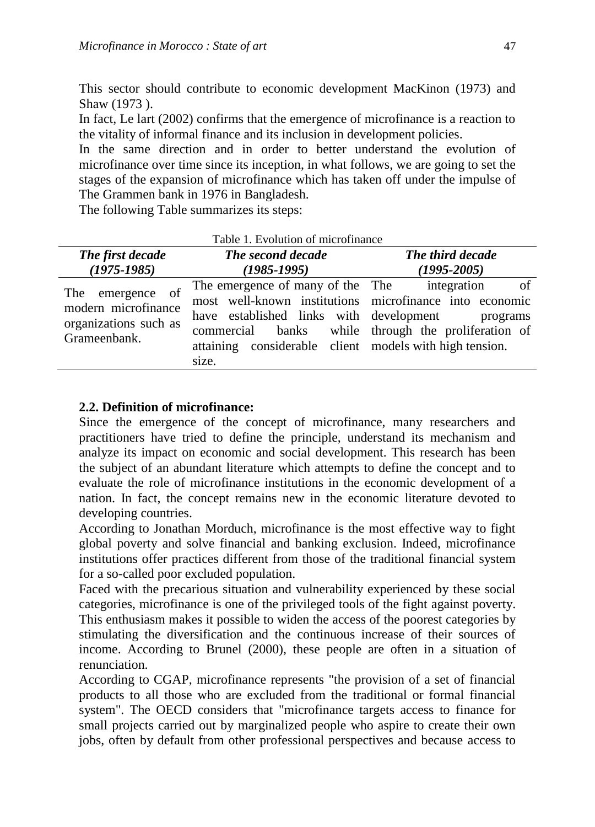This sector should contribute to economic development MacKinon (1973) and Shaw (1973 ).

In fact, Le lart (2002) confirms that the emergence of microfinance is a reaction to the vitality of informal finance and its inclusion in development policies.

In the same direction and in order to better understand the evolution of microfinance over time since its inception, in what follows, we are going to set the stages of the expansion of microfinance which has taken off under the impulse of The Grammen bank in 1976 in Bangladesh.

The following Table summarizes its steps:

| The first decade                                                                 | The second decade                                                                                                                                                                                                                                                             | The third decade |  |  |
|----------------------------------------------------------------------------------|-------------------------------------------------------------------------------------------------------------------------------------------------------------------------------------------------------------------------------------------------------------------------------|------------------|--|--|
| $(1975 - 1985)$                                                                  | $(1985 - 1995)$                                                                                                                                                                                                                                                               | $(1995 - 2005)$  |  |  |
| The emergence of<br>modern microfinance<br>organizations such as<br>Grameenbank. | The emergence of many of the The integration<br>most well-known institutions microfinance into economic<br>have established links with development<br>commercial banks while through the proliferation of<br>attaining considerable client models with high tension.<br>size. | of<br>programs   |  |  |

## Table 1. Evolution of microfinance

### **2.2. Definition of microfinance:**

Since the emergence of the concept of microfinance, many researchers and practitioners have tried to define the principle, understand its mechanism and analyze its impact on economic and social development. This research has been the subject of an abundant literature which attempts to define the concept and to evaluate the role of microfinance institutions in the economic development of a nation. In fact, the concept remains new in the economic literature devoted to developing countries.

According to Jonathan Morduch, microfinance is the most effective way to fight global poverty and solve financial and banking exclusion. Indeed, microfinance institutions offer practices different from those of the traditional financial system for a so-called poor excluded population.

Faced with the precarious situation and vulnerability experienced by these social categories, microfinance is one of the privileged tools of the fight against poverty. This enthusiasm makes it possible to widen the access of the poorest categories by stimulating the diversification and the continuous increase of their sources of income. According to Brunel (2000), these people are often in a situation of renunciation.

According to CGAP, microfinance represents "the provision of a set of financial products to all those who are excluded from the traditional or formal financial system". The OECD considers that "microfinance targets access to finance for small projects carried out by marginalized people who aspire to create their own jobs, often by default from other professional perspectives and because access to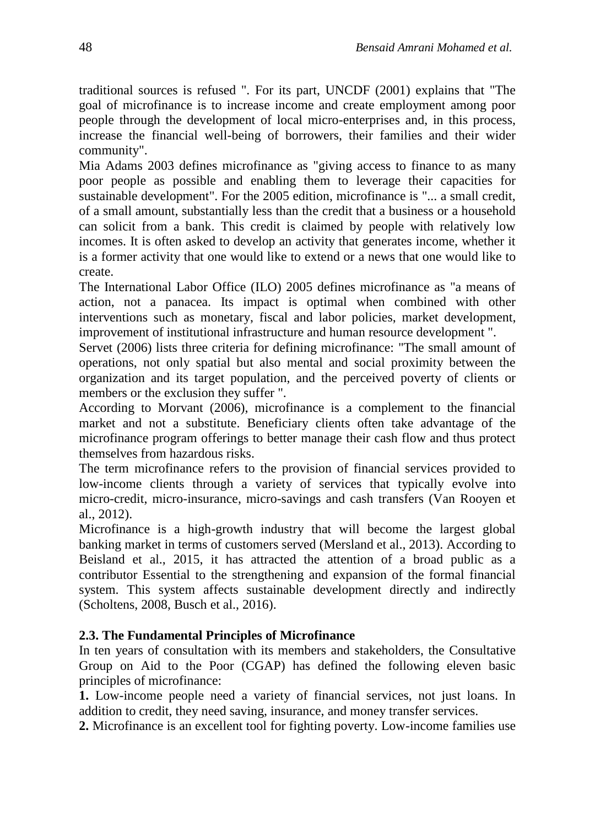traditional sources is refused ". For its part, UNCDF (2001) explains that "The goal of microfinance is to increase income and create employment among poor people through the development of local micro-enterprises and, in this process, increase the financial well-being of borrowers, their families and their wider community".

Mia Adams 2003 defines microfinance as "giving access to finance to as many poor people as possible and enabling them to leverage their capacities for sustainable development". For the 2005 edition, microfinance is "... a small credit, of a small amount, substantially less than the credit that a business or a household can solicit from a bank. This credit is claimed by people with relatively low incomes. It is often asked to develop an activity that generates income, whether it is a former activity that one would like to extend or a news that one would like to create.

The International Labor Office (ILO) 2005 defines microfinance as "a means of action, not a panacea. Its impact is optimal when combined with other interventions such as monetary, fiscal and labor policies, market development, improvement of institutional infrastructure and human resource development ".

Servet (2006) lists three criteria for defining microfinance: "The small amount of operations, not only spatial but also mental and social proximity between the organization and its target population, and the perceived poverty of clients or members or the exclusion they suffer ".

According to Morvant (2006), microfinance is a complement to the financial market and not a substitute. Beneficiary clients often take advantage of the microfinance program offerings to better manage their cash flow and thus protect themselves from hazardous risks.

The term microfinance refers to the provision of financial services provided to low-income clients through a variety of services that typically evolve into micro-credit, micro-insurance, micro-savings and cash transfers (Van Rooyen et al., 2012).

Microfinance is a high-growth industry that will become the largest global banking market in terms of customers served (Mersland et al., 2013). According to Beisland et al., 2015, it has attracted the attention of a broad public as a contributor Essential to the strengthening and expansion of the formal financial system. This system affects sustainable development directly and indirectly (Scholtens, 2008, Busch et al., 2016).

### **2.3. The Fundamental Principles of Microfinance**

In ten years of consultation with its members and stakeholders, the Consultative Group on Aid to the Poor (CGAP) has defined the following eleven basic principles of microfinance:

**1.** Low-income people need a variety of financial services, not just loans. In addition to credit, they need saving, insurance, and money transfer services.

**2.** Microfinance is an excellent tool for fighting poverty. Low-income families use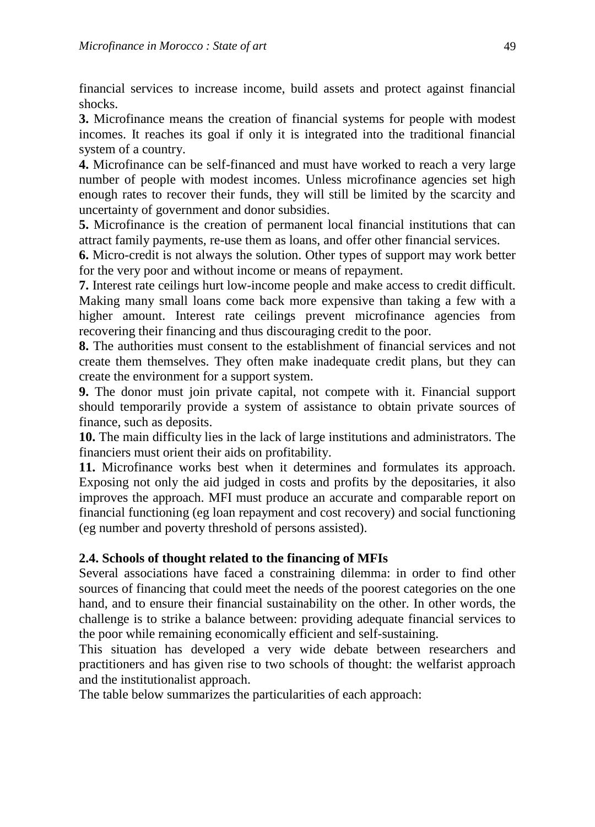financial services to increase income, build assets and protect against financial shocks.

**3.** Microfinance means the creation of financial systems for people with modest incomes. It reaches its goal if only it is integrated into the traditional financial system of a country.

**4.** Microfinance can be self-financed and must have worked to reach a very large number of people with modest incomes. Unless microfinance agencies set high enough rates to recover their funds, they will still be limited by the scarcity and uncertainty of government and donor subsidies.

**5.** Microfinance is the creation of permanent local financial institutions that can attract family payments, re-use them as loans, and offer other financial services.

**6.** Micro-credit is not always the solution. Other types of support may work better for the very poor and without income or means of repayment.

**7.** Interest rate ceilings hurt low-income people and make access to credit difficult. Making many small loans come back more expensive than taking a few with a higher amount. Interest rate ceilings prevent microfinance agencies from recovering their financing and thus discouraging credit to the poor.

**8.** The authorities must consent to the establishment of financial services and not create them themselves. They often make inadequate credit plans, but they can create the environment for a support system.

**9.** The donor must join private capital, not compete with it. Financial support should temporarily provide a system of assistance to obtain private sources of finance, such as deposits.

**10.** The main difficulty lies in the lack of large institutions and administrators. The financiers must orient their aids on profitability.

**11.** Microfinance works best when it determines and formulates its approach. Exposing not only the aid judged in costs and profits by the depositaries, it also improves the approach. MFI must produce an accurate and comparable report on financial functioning (eg loan repayment and cost recovery) and social functioning (eg number and poverty threshold of persons assisted).

## **2.4. Schools of thought related to the financing of MFIs**

Several associations have faced a constraining dilemma: in order to find other sources of financing that could meet the needs of the poorest categories on the one hand, and to ensure their financial sustainability on the other. In other words, the challenge is to strike a balance between: providing adequate financial services to the poor while remaining economically efficient and self-sustaining.

This situation has developed a very wide debate between researchers and practitioners and has given rise to two schools of thought: the welfarist approach and the institutionalist approach.

The table below summarizes the particularities of each approach: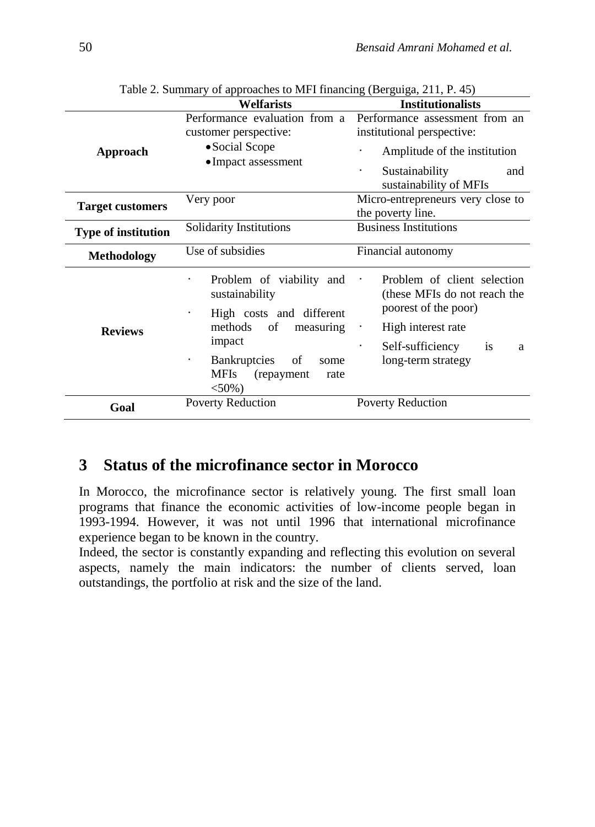|                            | <b>Welfarists</b>                                                                                                                                                                                   | <b>Institutionalists</b>                                                                                                                                              |  |  |  |
|----------------------------|-----------------------------------------------------------------------------------------------------------------------------------------------------------------------------------------------------|-----------------------------------------------------------------------------------------------------------------------------------------------------------------------|--|--|--|
| Approach                   | Performance evaluation from a<br>customer perspective:<br>• Social Scope<br>• Impact assessment                                                                                                     | Performance assessment from an<br>institutional perspective:<br>Amplitude of the institution<br>Sustainability<br>$\blacksquare$<br>and<br>sustainability of MFIs     |  |  |  |
| <b>Target customers</b>    | Very poor                                                                                                                                                                                           | Micro-entrepreneurs very close to<br>the poverty line.                                                                                                                |  |  |  |
| <b>Type of institution</b> | Solidarity Institutions                                                                                                                                                                             | <b>Business Institutions</b>                                                                                                                                          |  |  |  |
| <b>Methodology</b>         | Use of subsidies                                                                                                                                                                                    | Financial autonomy                                                                                                                                                    |  |  |  |
| <b>Reviews</b>             | Problem of viability and<br>sustainability<br>High costs and different<br>methods<br>of<br>measuring<br>impact<br>Bankruptcies<br>of<br>٠<br>some<br><b>MFIs</b><br>(repayment)<br>rate<br>$<$ 50%) | Problem of client selection<br>(these MFIs do not reach the<br>poorest of the poor)<br>High interest rate<br>Self-sufficiency<br><i>is</i><br>a<br>long-term strategy |  |  |  |
| Goal                       | <b>Poverty Reduction</b>                                                                                                                                                                            | <b>Poverty Reduction</b>                                                                                                                                              |  |  |  |

Table 2. Summary of approaches to MFI financing (Berguiga, 211, P. 45)

## **3 Status of the microfinance sector in Morocco**

In Morocco, the microfinance sector is relatively young. The first small loan programs that finance the economic activities of low-income people began in 1993-1994. However, it was not until 1996 that international microfinance experience began to be known in the country.

Indeed, the sector is constantly expanding and reflecting this evolution on several aspects, namely the main indicators: the number of clients served, loan outstandings, the portfolio at risk and the size of the land.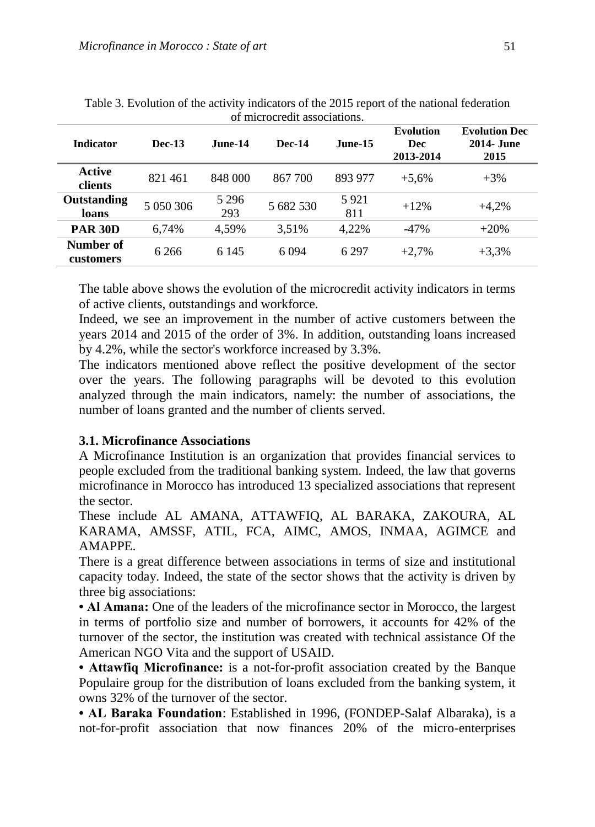| <b>Indicator</b>       | <b>Dec-13</b> | June-14        | <b>Dec-14</b> | <b>June-15</b> | <b>Evolution</b><br><b>Dec</b><br>2013-2014 | <b>Evolution Dec</b><br><b>2014- June</b><br>2015 |
|------------------------|---------------|----------------|---------------|----------------|---------------------------------------------|---------------------------------------------------|
| Active<br>clients      | 821461        | 848 000        | 867 700       | 893 977        | $+5,6%$                                     | $+3\%$                                            |
| Outstanding<br>loans   | 5 050 306     | 5 2 9 6<br>293 | 5 682 530     | 5921<br>811    | $+12%$                                      | $+4,2%$                                           |
| <b>PAR 30D</b>         | 6,74%         | 4,59%          | 3.51%         | 4,22%          | $-47%$                                      | $+20%$                                            |
| Number of<br>customers | 6 2 6 6       | 6 1 4 5        | 6 0 9 4       | 6 2 9 7        | $+2.7%$                                     | $+3,3%$                                           |

Table 3. Evolution of the activity indicators of the 2015 report of the national federation of microcredit associations.

The table above shows the evolution of the microcredit activity indicators in terms of active clients, outstandings and workforce.

Indeed, we see an improvement in the number of active customers between the years 2014 and 2015 of the order of 3%. In addition, outstanding loans increased by 4.2%, while the sector's workforce increased by 3.3%.

The indicators mentioned above reflect the positive development of the sector over the years. The following paragraphs will be devoted to this evolution analyzed through the main indicators, namely: the number of associations, the number of loans granted and the number of clients served.

#### **3.1. Microfinance Associations**

A Microfinance Institution is an organization that provides financial services to people excluded from the traditional banking system. Indeed, the law that governs microfinance in Morocco has introduced 13 specialized associations that represent the sector.

These include AL AMANA, ATTAWFIQ, AL BARAKA, ZAKOURA, AL KARAMA, AMSSF, ATIL, FCA, AIMC, AMOS, INMAA, AGIMCE and AMAPPE.

There is a great difference between associations in terms of size and institutional capacity today. Indeed, the state of the sector shows that the activity is driven by three big associations:

**• Al Amana:** One of the leaders of the microfinance sector in Morocco, the largest in terms of portfolio size and number of borrowers, it accounts for 42% of the turnover of the sector, the institution was created with technical assistance Of the American NGO Vita and the support of USAID.

**• Attawfiq Microfinance:** is a not-for-profit association created by the Banque Populaire group for the distribution of loans excluded from the banking system, it owns 32% of the turnover of the sector.

**• AL Baraka Foundation**: Established in 1996, (FONDEP-Salaf Albaraka), is a not-for-profit association that now finances 20% of the micro-enterprises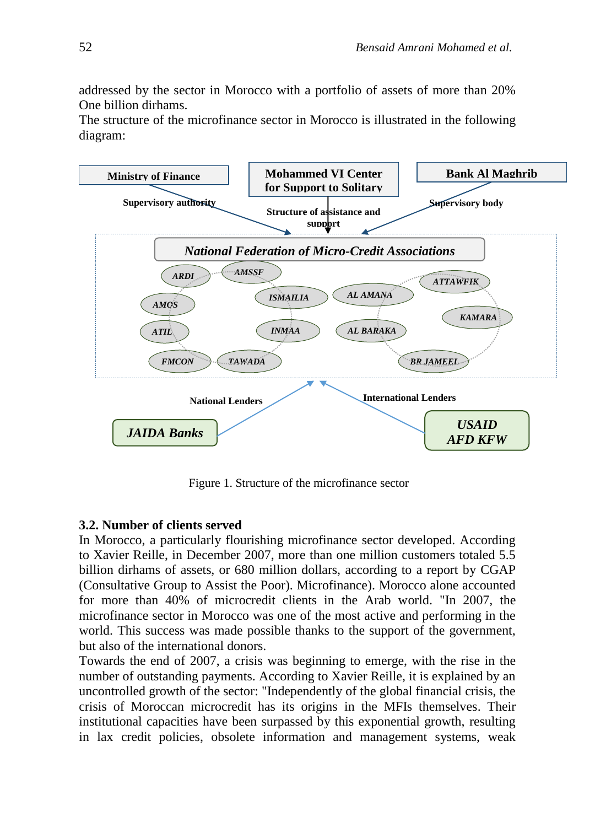addressed by the sector in Morocco with a portfolio of assets of more than 20% One billion dirhams.

The structure of the microfinance sector in Morocco is illustrated in the following diagram:



Figure 1. Structure of the microfinance sector

#### **3.2. Number of clients served**

In Morocco, a particularly flourishing microfinance sector developed. According to Xavier Reille, in December 2007, more than one million customers totaled 5.5 billion dirhams of assets, or 680 million dollars, according to a report by CGAP (Consultative Group to Assist the Poor). Microfinance). Morocco alone accounted for more than 40% of microcredit clients in the Arab world. "In 2007, the microfinance sector in Morocco was one of the most active and performing in the world. This success was made possible thanks to the support of the government, but also of the international donors.

Towards the end of 2007, a crisis was beginning to emerge, with the rise in the number of outstanding payments. According to Xavier Reille, it is explained by an uncontrolled growth of the sector: "Independently of the global financial crisis, the crisis of Moroccan microcredit has its origins in the MFIs themselves. Their institutional capacities have been surpassed by this exponential growth, resulting in lax credit policies, obsolete information and management systems, weak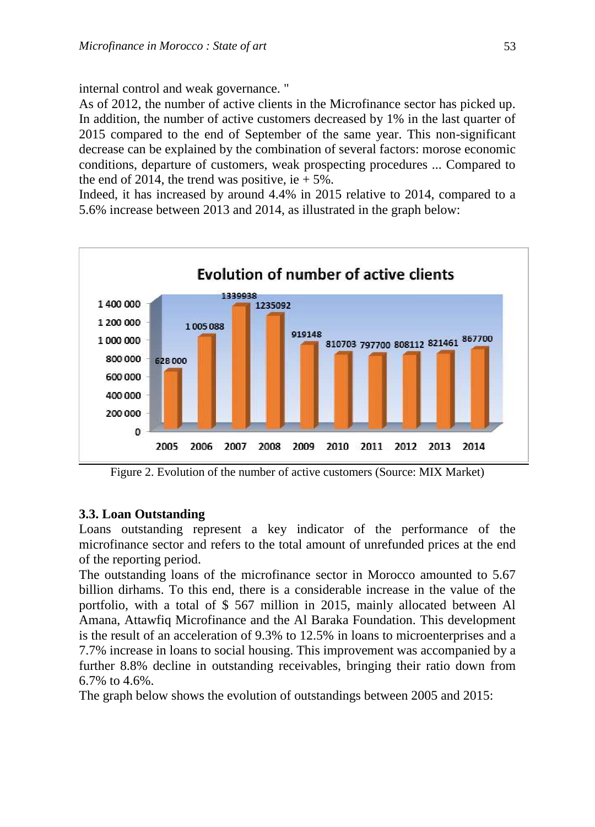internal control and weak governance. "

As of 2012, the number of active clients in the Microfinance sector has picked up. In addition, the number of active customers decreased by 1% in the last quarter of 2015 compared to the end of September of the same year. This non-significant decrease can be explained by the combination of several factors: morose economic conditions, departure of customers, weak prospecting procedures ... Compared to the end of 2014, the trend was positive, ie  $+5\%$ .

Indeed, it has increased by around 4.4% in 2015 relative to 2014, compared to a 5.6% increase between 2013 and 2014, as illustrated in the graph below:



Figure 2. Evolution of the number of active customers (Source: MIX Market)

### **3.3. Loan Outstanding**

Loans outstanding represent a key indicator of the performance of the microfinance sector and refers to the total amount of unrefunded prices at the end of the reporting period.

The outstanding loans of the microfinance sector in Morocco amounted to 5.67 billion dirhams. To this end, there is a considerable increase in the value of the portfolio, with a total of \$ 567 million in 2015, mainly allocated between Al Amana, Attawfiq Microfinance and the Al Baraka Foundation. This development is the result of an acceleration of 9.3% to 12.5% in loans to microenterprises and a 7.7% increase in loans to social housing. This improvement was accompanied by a further 8.8% decline in outstanding receivables, bringing their ratio down from 6.7% to 4.6%.

The graph below shows the evolution of outstandings between 2005 and 2015: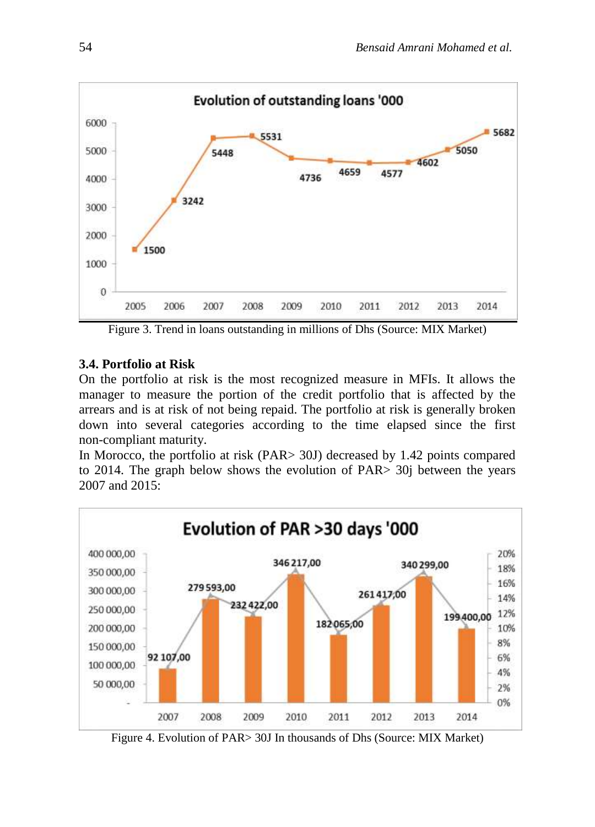

Figure 3. Trend in loans outstanding in millions of Dhs (Source: MIX Market)

## **3.4. Portfolio at Risk**

On the portfolio at risk is the most recognized measure in MFIs. It allows the manager to measure the portion of the credit portfolio that is affected by the arrears and is at risk of not being repaid. The portfolio at risk is generally broken down into several categories according to the time elapsed since the first non-compliant maturity.

In Morocco, the portfolio at risk (PAR> 30J) decreased by 1.42 points compared to 2014. The graph below shows the evolution of PAR> 30j between the years 2007 and 2015:



Figure 4. Evolution of PAR> 30J In thousands of Dhs (Source: MIX Market)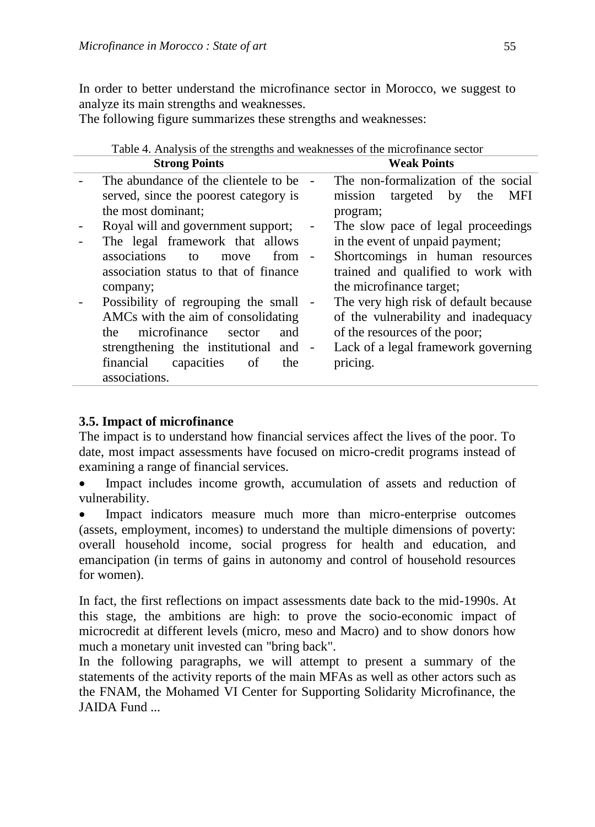In order to better understand the microfinance sector in Morocco, we suggest to analyze its main strengths and weaknesses.

The following figure summarizes these strengths and weaknesses:

| Table 4. Analysis of the strengths and weaknesses of the microfinance sector |                                                |
|------------------------------------------------------------------------------|------------------------------------------------|
| <b>Strong Points</b>                                                         | <b>Weak Points</b>                             |
| The abundance of the clientele to be                                         | The non-formalization of the social            |
| served, since the poorest category is                                        | mission<br>targeted<br>by<br><b>MFI</b><br>the |
| the most dominant:                                                           | program;                                       |
| Royal will and government support;                                           | The slow pace of legal proceedings             |
| The legal framework that allows                                              | in the event of unpaid payment;                |
| associations<br>$from -$<br>to<br>move                                       | Shortcomings in human resources                |
| association status to that of finance                                        | trained and qualified to work with             |
| company;                                                                     | the microfinance target;                       |
| Possibility of regrouping the small -                                        | The very high risk of default because          |
| AMCs with the aim of consolidating                                           | of the vulnerability and inadequacy            |
| microfinance<br>the<br>sector<br>and                                         | of the resources of the poor;                  |
| strengthening the institutional and -                                        | Lack of a legal framework governing            |
| financial<br>capacities<br>the<br>of                                         | pricing.                                       |
| associations.                                                                |                                                |

## $T_{\rm{c}}$  1.1.  $A$  . An algebra of the strengths and weaknesses of the microfina $\mathcal{C}_0$

### **3.5. Impact of microfinance**

The impact is to understand how financial services affect the lives of the poor. To date, most impact assessments have focused on micro-credit programs instead of examining a range of financial services.

• Impact includes income growth, accumulation of assets and reduction of vulnerability.

 Impact indicators measure much more than micro-enterprise outcomes (assets, employment, incomes) to understand the multiple dimensions of poverty: overall household income, social progress for health and education, and emancipation (in terms of gains in autonomy and control of household resources for women).

In fact, the first reflections on impact assessments date back to the mid-1990s. At this stage, the ambitions are high: to prove the socio-economic impact of microcredit at different levels (micro, meso and Macro) and to show donors how much a monetary unit invested can "bring back".

In the following paragraphs, we will attempt to present a summary of the statements of the activity reports of the main MFAs as well as other actors such as the FNAM, the Mohamed VI Center for Supporting Solidarity Microfinance, the JAIDA Fund ...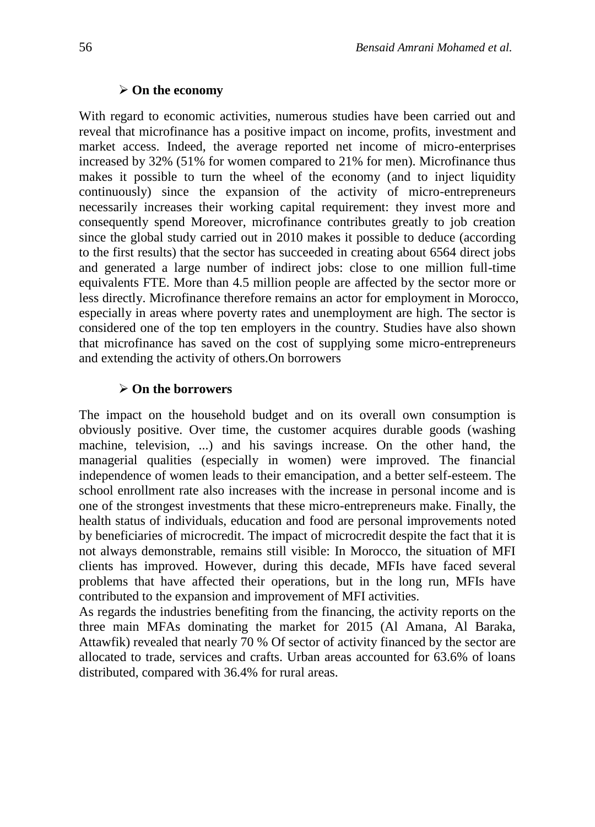#### **On the economy**

With regard to economic activities, numerous studies have been carried out and reveal that microfinance has a positive impact on income, profits, investment and market access. Indeed, the average reported net income of micro-enterprises increased by 32% (51% for women compared to 21% for men). Microfinance thus makes it possible to turn the wheel of the economy (and to inject liquidity continuously) since the expansion of the activity of micro-entrepreneurs necessarily increases their working capital requirement: they invest more and consequently spend Moreover, microfinance contributes greatly to job creation since the global study carried out in 2010 makes it possible to deduce (according to the first results) that the sector has succeeded in creating about 6564 direct jobs and generated a large number of indirect jobs: close to one million full-time equivalents FTE. More than 4.5 million people are affected by the sector more or less directly. Microfinance therefore remains an actor for employment in Morocco, especially in areas where poverty rates and unemployment are high. The sector is considered one of the top ten employers in the country. Studies have also shown that microfinance has saved on the cost of supplying some micro-entrepreneurs and extending the activity of others.On borrowers

#### **On the borrowers**

The impact on the household budget and on its overall own consumption is obviously positive. Over time, the customer acquires durable goods (washing machine, television, ...) and his savings increase. On the other hand, the managerial qualities (especially in women) were improved. The financial independence of women leads to their emancipation, and a better self-esteem. The school enrollment rate also increases with the increase in personal income and is one of the strongest investments that these micro-entrepreneurs make. Finally, the health status of individuals, education and food are personal improvements noted by beneficiaries of microcredit. The impact of microcredit despite the fact that it is not always demonstrable, remains still visible: In Morocco, the situation of MFI clients has improved. However, during this decade, MFIs have faced several problems that have affected their operations, but in the long run, MFIs have contributed to the expansion and improvement of MFI activities.

As regards the industries benefiting from the financing, the activity reports on the three main MFAs dominating the market for 2015 (Al Amana, Al Baraka, Attawfik) revealed that nearly 70 % Of sector of activity financed by the sector are allocated to trade, services and crafts. Urban areas accounted for 63.6% of loans distributed, compared with 36.4% for rural areas.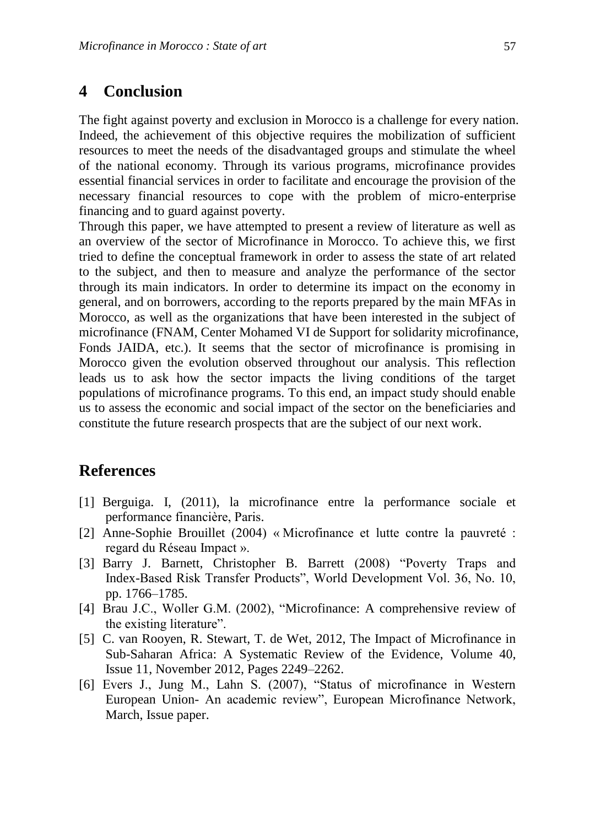## **4 Conclusion**

The fight against poverty and exclusion in Morocco is a challenge for every nation. Indeed, the achievement of this objective requires the mobilization of sufficient resources to meet the needs of the disadvantaged groups and stimulate the wheel of the national economy. Through its various programs, microfinance provides essential financial services in order to facilitate and encourage the provision of the necessary financial resources to cope with the problem of micro-enterprise financing and to guard against poverty.

Through this paper, we have attempted to present a review of literature as well as an overview of the sector of Microfinance in Morocco. To achieve this, we first tried to define the conceptual framework in order to assess the state of art related to the subject, and then to measure and analyze the performance of the sector through its main indicators. In order to determine its impact on the economy in general, and on borrowers, according to the reports prepared by the main MFAs in Morocco, as well as the organizations that have been interested in the subject of microfinance (FNAM, Center Mohamed VI de Support for solidarity microfinance, Fonds JAIDA, etc.). It seems that the sector of microfinance is promising in Morocco given the evolution observed throughout our analysis. This reflection leads us to ask how the sector impacts the living conditions of the target populations of microfinance programs. To this end, an impact study should enable us to assess the economic and social impact of the sector on the beneficiaries and constitute the future research prospects that are the subject of our next work.

## **References**

- [1] Berguiga. I, (2011), la microfinance entre la performance sociale et performance financière, Paris.
- [2] Anne-Sophie Brouillet (2004) « Microfinance et lutte contre la pauvreté : regard du Réseau Impact ».
- [3] Barry J. Barnett, Christopher B. Barrett (2008) "Poverty Traps and Index-Based Risk Transfer Products", World Development Vol. 36, No. 10, pp. 1766–1785.
- [4] Brau J.C., Woller G.M. (2002), "Microfinance: A comprehensive review of the existing literature".
- [5] [C. van Rooyen, R. Stewart, T. de Wet,](http://www.sciencedirect.com/science/article/pii/S0305750X12000496) 2012, The Impact of Microfinance in Sub-Saharan Africa: A Systematic Review of the Evidence, [Volume 40,](http://www.sciencedirect.com/science/journal/0305750X/40/11)  [Issue 11,](http://www.sciencedirect.com/science/journal/0305750X/40/11) November 2012, Pages 2249–2262.
- [6] Evers J., Jung M., Lahn S. (2007), "Status of microfinance in Western European Union- An academic review", European Microfinance Network, March, Issue paper.